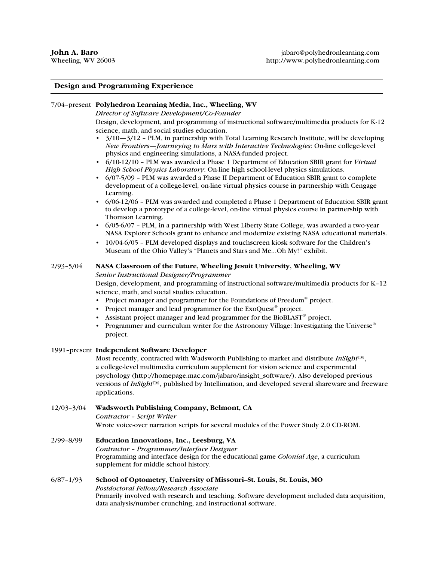## **Design and Programming Experience**

### 7/04–present **Polyhedron Learning Media, Inc., Wheeling, WV**

*Director of Software Development/Co-Founder*

Design, development, and programming of instructional software/multimedia products for K-12 science, math, and social studies education.

- $3/10 3/12$  PLM, in partnership with Total Learning Research Institute, will be developing *New Frontiers—Journeying to Mars with Interactive Technologies*: On-line college-level physics and engineering simulations, a NASA-funded project.
- 6/10-12/10 PLM was awarded a Phase 1 Department of Education SBIR grant for *Virtual High School Physics Laboratory*: On-line high school-level physics simulations.
- 6/07-5/09 PLM was awarded a Phase II Department of Education SBIR grant to complete development of a college-level, on-line virtual physics course in partnership with Cengage Learning.
- 6/06-12/06 PLM was awarded and completed a Phase 1 Department of Education SBIR grant to develop a prototype of a college-level, on-line virtual physics course in partnership with Thomson Learning.
- 6/05-6/07 PLM, in a partnership with West Liberty State College, was awarded a two-year NASA Explorer Schools grant to enhance and modernize existing NASA educational materials.
- 10/04-6/05 PLM developed displays and touchscreen kiosk software for the Children's Museum of the Ohio Valley's "Planets and Stars and Me...Oh My!" exhibit.

### 2/93–5/04 **NASA Classroom of the Future, Wheeling Jesuit University, Wheeling, WV**

*Senior Instructional Designer/Programmer*

Design, development, and programming of instructional software/multimedia products for K–12 science, math, and social studies education.

- Project manager and programmer for the Foundations of Freedom® project.
- Project manager and lead programmer for the ExoQuest<sup>®</sup> project.
- Assistant project manager and lead programmer for the BioBLAST<sup>®</sup> project.
- Programmer and curriculum writer for the Astronomy Village: Investigating the Universe<sup>®</sup> project.

#### 1991–present **Independent Software Developer**

Most recently, contracted with Wadsworth Publishing to market and distribute *InSight*™, a college-level multimedia curriculum supplement for vision science and experimental psychology (http://homepage.mac.com/jabaro/insight\_software/). Also developed previous versions of *InSight*™, published by Intellimation, and developed several shareware and freeware applications.

### 12/03–3/04 **Wadsworth Publishing Company, Belmont, CA** *Contractor – Script Writer* Wrote voice-over narration scripts for several modules of the Power Study 2.0 CD-ROM.

2/99–8/99 **Education Innovations, Inc., Leesburg, VA** *Contractor – Programmer/Interface Designer* Programming and interface design for the educational game *Colonial Age*, a curriculum supplement for middle school history.

6/87–1/93 **School of Optometry, University of Missouri–St. Louis, St. Louis, MO** *Postdoctoral Fellow/Research Associate* Primarily involved with research and teaching. Software development included data acquisition, data analysis/number crunching, and instructional software.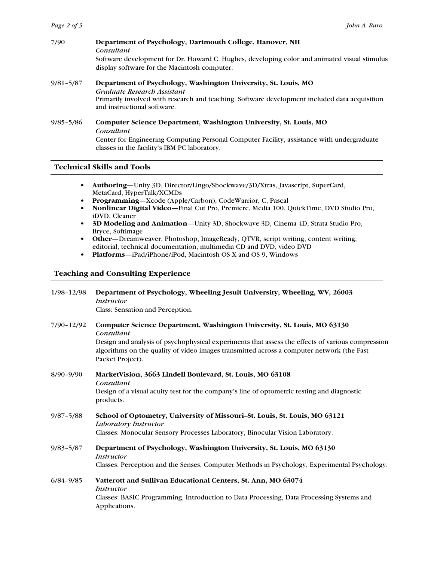| 7/90          | Department of Psychology, Dartmouth College, Hanover, NH<br>Consultant                                                                                                                                                        |
|---------------|-------------------------------------------------------------------------------------------------------------------------------------------------------------------------------------------------------------------------------|
|               | Software development for Dr. Howard C. Hughes, developing color and animated visual stimulus<br>display software for the Macintosh computer.                                                                                  |
| $9/81 - 5/87$ | Department of Psychology, Washington University, St. Louis, MO<br>Graduate Research Assistant<br>Primarily involved with research and teaching. Software development included data acquisition<br>and instructional software. |
| $9/85 - 5/86$ | Computer Science Department, Washington University, St. Louis, MO<br>Consultant                                                                                                                                               |

Center for Engineering Computing Personal Computer Facility, assistance with undergraduate classes in the facility's IBM PC laboratory.

**Technical Skills and Tools**

- **• Authoring**—Unity 3D, Director/Lingo/Shockwave/3D/Xtras, Javascript, SuperCard, MetaCard, HyperTalk/XCMDs
- **• Programming**—Xcode (Apple/Carbon), CodeWarrior, C, Pascal
- **• Nonlinear Digital Video**—Final Cut Pro, Premiere, Media 100, QuickTime, DVD Studio Pro, iDVD, Cleaner
- **• 3D Modeling and Animation**—Unity 3D, Shockwave 3D, Cinema 4D, Strata Studio Pro, Bryce, Softimage
- **• Other**—Dreamweaver, Photoshop, ImageReady, QTVR, script writing, content writing, editorial, technical documentation, multimedia CD and DVD, video DVD
- **• Platforms**—iPad/iPhone/iPod, Macintosh OS X and OS 9, Windows

# **Teaching and Consulting Experience**

| $1/98 - 12/98$ | Department of Psychology, Wheeling Jesuit University, Wheeling, WV, 26003<br><i>Instructor</i>                                                                                                                    |
|----------------|-------------------------------------------------------------------------------------------------------------------------------------------------------------------------------------------------------------------|
|                | Class: Sensation and Perception.                                                                                                                                                                                  |
| 7/90-12/92     | Computer Science Department, Washington University, St. Louis, MO 63130<br>Consultant                                                                                                                             |
|                | Design and analysis of psychophysical experiments that assess the effects of various compression<br>algorithms on the quality of video images transmitted across a computer network (the Fast<br>Packet Project). |
| $8/90 - 9/90$  | MarketVision, 3663 Lindell Boulevard, St. Louis, MO 63108<br>Consultant                                                                                                                                           |
|                | Design of a visual acuity test for the company's line of optometric testing and diagnostic<br>products.                                                                                                           |
| $9/87 - 5/88$  | School of Optometry, University of Missouri–St. Louis, St. Louis, MO 63121<br>Laboratory Instructor                                                                                                               |
|                | Classes: Monocular Sensory Processes Laboratory, Binocular Vision Laboratory.                                                                                                                                     |
| $9/83 - 5/87$  | Department of Psychology, Washington University, St. Louis, MO 63130<br>Instructor                                                                                                                                |
|                | Classes: Perception and the Senses, Computer Methods in Psychology, Experimental Psychology.                                                                                                                      |
| $6/84 - 9/85$  | Vatterott and Sullivan Educational Centers, St. Ann, MO 63074<br><i>Instructor</i>                                                                                                                                |
|                | Classes: BASIC Programming, Introduction to Data Processing, Data Processing Systems and<br>Applications.                                                                                                         |
|                |                                                                                                                                                                                                                   |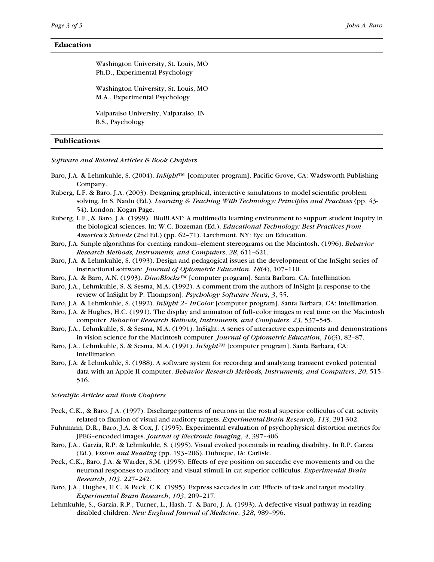### **Education**

Washington University, St. Louis, MO Ph.D., Experimental Psychology

Washington University, St. Louis, MO M.A., Experimental Psychology

Valparaiso University, Valparaiso, IN B.S., Psychology

# **Publications**

*Software and Related Articles & Book Chapters*

- Baro, J.A. & Lehmkuhle, S. (2004). *InSight*™ [computer program]. Pacific Grove, CA: Wadsworth Publishing Company.
- Ruberg, L.F. & Baro, J.A. (2003). Designing graphical, interactive simulations to model scientific problem solving. In S. Naidu (Ed.), *Learning & Teaching With Technology: Principles and Practices* (pp. 43- 54). London: Kogan Page.
- Ruberg, L.F., & Baro, J.A. (1999). BioBLAST: A multimedia learning environment to support student inquiry in the biological sciences. In: W.C. Bozeman (Ed.), *Educational Technology: Best Practices from America's Schools* (2nd Ed.) (pp. 62–71). Larchmont, NY: Eye on Education.
- Baro, J.A. Simple algorithms for creating random–element stereograms on the Macintosh. (1996). *Behavior Research Methods, Instruments, and Computers*, *28*, 611–621.
- Baro, J.A. & Lehmkuhle, S. (1993). Design and pedagogical issues in the development of the InSight series of instructional software. *Journal of Optometric Education*, *18*(4), 107–110.
- Baro, J.A. & Baro, A.N. (1993). *DinoBlocks™* [computer program]. Santa Barbara, CA: Intellimation.
- Baro, J.A., Lehmkuhle, S. & Sesma, M.A. (1992). A comment from the authors of InSight [a response to the review of InSight by P. Thompson]. *Psychology Software News*, *3*, 55.
- Baro, J.A. & Lehmkuhle, S. (1992). *InSight 2– InColor* [computer program]. Santa Barbara, CA: Intellimation.
- Baro, J.A. & Hughes, H.C. (1991). The display and animation of full–color images in real time on the Macintosh computer. *Behavior Research Methods, Instruments, and Computers*, *23*, 537–545.
- Baro, J.A., Lehmkuhle, S. & Sesma, M.A. (1991). InSight: A series of interactive experiments and demonstrations in vision science for the Macintosh computer. *Journal of Optometric Education*, *16*(3), 82–87.
- Baro, J.A., Lehmkuhle, S. & Sesma, M.A. (1991). *InSight™* [computer program]. Santa Barbara, CA: Intellimation.
- Baro, J.A. & Lehmkuhle, S. (1988). A software system for recording and analyzing transient evoked potential data with an Apple II computer. *Behavior Research Methods, Instruments, and Computers*, *20*, 515– 516.

#### *Scientific Articles and Book Chapters*

- Peck, C.K., & Baro, J.A. (1997). Discharge patterns of neurons in the rostral superior colliculus of cat: activity related to fixation of visual and auditory targets. *Experimental Brain Research, 113*, 291-302.
- Fuhrmann, D.R., Baro, J.A. & Cox, J. (1995). Experimental evaluation of psychophysical distortion metrics for JPEG–encoded images. *Journal of Electronic Imaging*, *4*, 397–406.
- Baro, J.A., Garzia, R.P. & Lehmkuhle, S. (1995). Visual evoked potentials in reading disability. In R.P. Garzia (Ed.), *Vision and Reading* (pp. 193–206). Dubuque, IA: Carlisle.
- Peck, C.K., Baro, J.A. & Warder, S.M. (1995). Effects of eye position on saccadic eye movements and on the neuronal responses to auditory and visual stimuli in cat superior colliculus. *Experimental Brain Research*, *103*, 227–242.
- Baro, J.A., Hughes, H.C. & Peck, C.K. (1995). Express saccades in cat: Effects of task and target modality. *Experimental Brain Research*, *103*, 209–217.
- Lehmkuhle, S., Garzia, R.P., Turner, L., Hash, T. & Baro, J. A. (1993). A defective visual pathway in reading disabled children. *New England Journal of Medicine*, *328*, 989–996.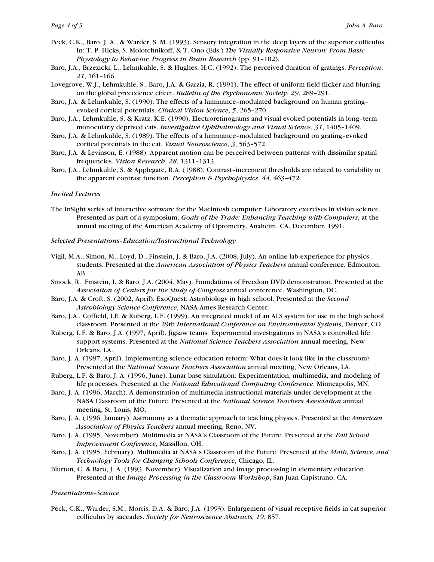- Peck, C.K., Baro, J. A., & Warder, S. M. (1993). Sensory integration in the deep layers of the superior colliculus. In: T. P. Hicks, S. Molotchnikoff, & T. Ono (Eds.) *The Visually Responsive Neuron: From Basic Physiology to Behavior, Progress in Brain Research* (pp. 91–102).
- Baro, J.A., Brzezicki, L., Lehmkuhle, S. & Hughes, H.C. (1992). The perceived duration of gratings. *Perception*, *21*, 161–166.
- Lovegrove, W.J., Lehmkuhle, S., Baro, J.A. & Garzia, R. (1991). The effect of uniform field flicker and blurring on the global precedence effect. *Bulletin of the Psychonomic Society*, *29*, 289–291.
- Baro, J.A. & Lehmkuhle, S. (1990). The effects of a luminance–modulated background on human grating– evoked cortical potentials. *Clinical Vision Science*, *5*, 265–270.
- Baro, J.A., Lehmkuhle, S. & Kratz, K.E. (1990). Electroretinograms and visual evoked potentials in long–term monocularly deprived cats. *Investigative Ophthalmology and Visual Science*, *31*, 1405–1409.
- Baro, J.A. & Lehmkuhle, S. (1989). The effects of a luminance–modulated background on grating–evoked cortical potentials in the cat. *Visual Neuroscience*, *3*, 563–572.
- Baro, J.A. & Levinson, E. (1988). Apparent motion can be perceived between patterns with dissimilar spatial frequencies. *Vision Research*, *28*, 1311–1313.
- Baro, J.A., Lehmkuhle, S. & Applegate, R.A. (1988). Contrast–increment thresholds are related to variability in the apparent contrast function. *Perception & Psychophysics*, *44*, 463–472.

#### *Invited Lectures*

- The InSight series of interactive software for the Macintosh computer: Laboratory exercises in vision science. Presented as part of a symposium, *Goals of the Trade: Enhancing Teaching with Computers*, at the annual meeting of the American Academy of Optometry, Anaheim, CA, December, 1991.
- *Selected Presentations–Education/Instructional Technology*
- Vigil, M.A., Simon, M., Loyd, D., Finstein, J. & Baro, J.A. (2008, July). An online lab experience for physics students. Presented at the *American Association of Physics Teachers* annual conference, Edmonton, AB.
- Smock, R., Finstein, J. & Baro, J.A. (2004, May). Foundations of Freedom DVD demonstration. Presented at the *Association of Centers for the Study of Congress* annual conference, Washington, DC.
- Baro, J.A. & Croft, S. (2002, April). ExoQuest: Astrobiology in high school. Presented at the *Second Astrobiology Science Conference*, NASA Ames Research Center.
- Baro, J.A., Coffield, J.E. & Ruberg, L.F. (1999). An integrated model of an ALS system for use in the high school classroom. Presented at the 29th *International Conference on Environmental Systems*, Denver, CO.
- Ruberg, L.F. & Baro, J.A. (1997, April). Jigsaw teams: Experimental investigations in NASA's controlled life support systems. Presented at the *National Science Teachers Association* annual meeting, New Orleans, LA.
- Baro, J. A. (1997, April). Implementing science education reform: What does it look like in the classroom? Presented at the *National Science Teachers Association* annual meeting, New Orleans, LA.
- Ruberg, L.F. & Baro, J. A. (1996, June). Lunar base simulation: Experimentation, multimedia, and modeling of life processes. Presented at the *National Educational Computing Conference*, Minneapolis, MN.
- Baro, J. A. (1996, March). A demonstration of multimedia instructional materials under development at the NASA Classroom of the Future. Presented at the *National Science Teachers Association* annual meeting, St. Louis, MO.
- Baro, J. A. (1996, January). Astronomy as a thematic approach to teaching physics. Presented at the *American Association of Physics Teachers* annual meeting, Reno, NV.
- Baro, J. A. (1995, November). Multimedia at NASA's Classroom of the Future. Presented at the *Fall School Improvement Conference*, Massillon, OH.
- Baro, J. A. (1995, February). Multimedia at NASA's Classroom of the Future. Presented at the *Math, Science, and Technology Tools for Changing Schools Conference*, Chicago, IL.
- Blurton, C. & Baro, J. A. (1993, November). Visualization and image processing in elementary education. Presented at the *Image Processing in the Classroom Workshop*, San Juan Capistrano, CA.

#### *Presentations–Science*

Peck, C.K., Warder, S.M., Morris, D.A. & Baro, J.A. (1993). Enlargement of visual receptive fields in cat superior colliculus by saccades. *Society for Neuroscience Abstracts, 19*, 857.